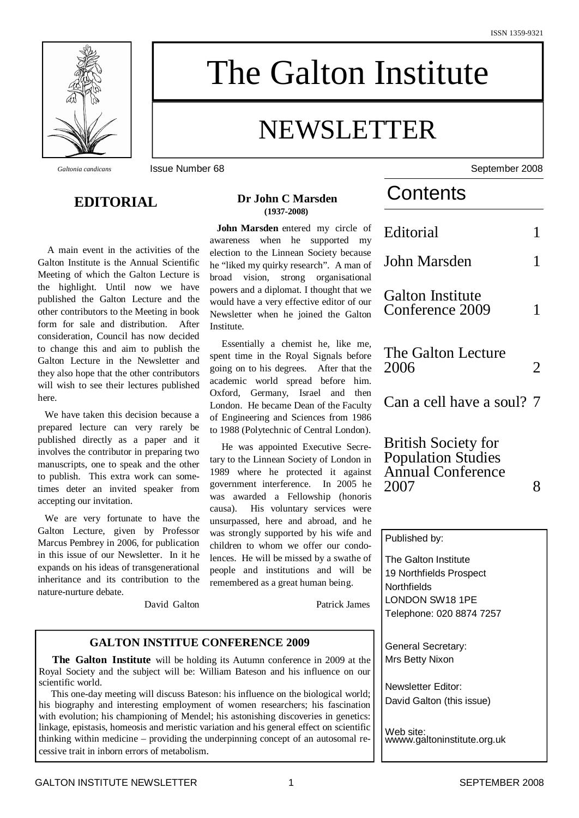

# The Galton Institute

## NEWSLETTER

#### **EDITORIAL**

A main event in the activities of the Galton Institute is the Annual Scientific Meeting of which the Galton Lecture is the highlight. Until now we have published the Galton Lecture and the other contributors to the Meeting in book form for sale and distribution. After consideration, Council has now decided to change this and aim to publish the Galton Lecture in the Newsletter and they also hope that the other contributors will wish to see their lectures published here.

We have taken this decision because a prepared lecture can very rarely be published directly as a paper and it involves the contributor in preparing two manuscripts, one to speak and the other to publish. This extra work can sometimes deter an invited speaker from accepting our invitation.

We are very fortunate to have the Galton Lecture, given by Professor Marcus Pembrey in 2006, for publication in this issue of our Newsletter. In it he expands on his ideas of transgenerational inheritance and its contribution to the nature-nurture debate.

David Galton

#### **Dr John C Marsden (1937-2008)**

**John Marsden** entered my circle of awareness when he supported my election to the Linnean Society because he "liked my quirky research". A man of broad vision, strong organisational powers and a diplomat. I thought that we would have a very effective editor of our Newsletter when he joined the Galton Institute.

Essentially a chemist he, like me, spent time in the Royal Signals before going on to his degrees. After that the academic world spread before him. Oxford, Germany, Israel and then London. He became Dean of the Faculty of Engineering and Sciences from 1986 to 1988 (Polytechnic of Central London).

He was appointed Executive Secretary to the Linnean Society of London in 1989 where he protected it against government interference. In 2005 he was awarded a Fellowship (honoris causa). His voluntary services were unsurpassed, here and abroad, and he was strongly supported by his wife and children to whom we offer our condolences. He will be missed by a swathe of people and institutions and will be remembered as a great human being.

Patrick James

#### **GALTON INSTITUE CONFERENCE 2009**

**The Galton Institute** will be holding its Autumn conference in 2009 at the Royal Society and the subject will be: William Bateson and his influence on our scientific world.

This one-day meeting will discuss Bateson: his influence on the biological world; his biography and interesting employment of women researchers; his fascination with evolution; his championing of Mendel; his astonishing discoveries in genetics linkage, epistasis, homeosis and meristic variation and his general effect on scientific thinking within medicine – providing the underpinning concept of an autosomal recessive trait in inborn errors of metabolism.

*Galtonia candicans* **ISSUE Number 68** September 2008

### **Contents**

| Editorial                                  |   |
|--------------------------------------------|---|
| John Marsden                               |   |
| <b>Galton Institute</b><br>Conference 2009 |   |
| The Galton Lecture<br>2006                 | 2 |
| Can a cell have a soul? 7                  |   |
|                                            |   |

British Society for Population Studies Annual Conference 2007 8

| d<br>)- | Published by:               |
|---------|-----------------------------|
| Ιf      | The Galton Institute        |
| e       | 19 Northfields Prospect     |
|         | Northfields                 |
| Ś       | LONDON SW18 1PE             |
|         | Telephone: 020 8874 7257    |
|         |                             |
|         | General Secretary:          |
| e       | Mrs Betty Nixon             |
| r       |                             |
|         | Newsletter Editor:          |
| l;<br>n | David Galton (this issue)   |
| I.      |                             |
| Ċ       | Web site:                   |
| į.      | wwww.galtoninstitute.org.uk |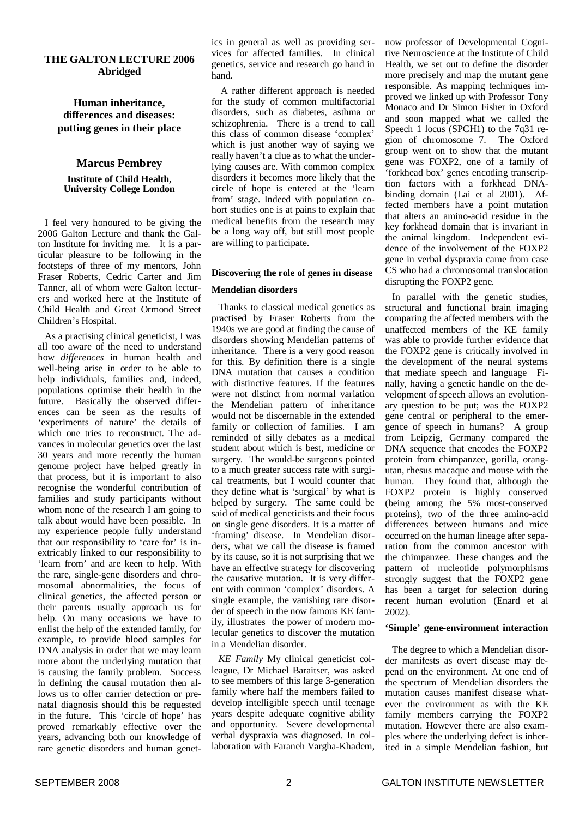#### **THE GALTON LECTURE 2006 Abridged**

#### **Human inheritance, differences and diseases: putting genes in their place**

#### **Marcus Pembrey Institute of Child Health, University College London**

I feel very honoured to be giving the 2006 Galton Lecture and thank the Galton Institute for inviting me. It is a particular pleasure to be following in the footsteps of three of my mentors, John Fraser Roberts, Cedric Carter and Jim Tanner, all of whom were Galton lecturers and worked here at the Institute of Child Health and Great Ormond Street Children's Hospital.

As a practising clinical geneticist, I was all too aware of the need to understand how *differences* in human health and well-being arise in order to be able to help individuals, families and, indeed, populations optimise their health in the future. Basically the observed differences can be seen as the results of 'experiments of nature' the details of which one tries to reconstruct. The advances in molecular genetics over the last 30 years and more recently the human genome project have helped greatly in that process, but it is important to also recognise the wonderful contribution of families and study participants without whom none of the research I am going to talk about would have been possible. In my experience people fully understand that our responsibility to 'care for' is inextricably linked to our responsibility to 'learn from' and are keen to help. With the rare, single-gene disorders and chromosomal abnormalities, the focus of clinical genetics, the affected person or their parents usually approach us for help. On many occasions we have to enlist the help of the extended family, for example, to provide blood samples for DNA analysis in order that we may learn more about the underlying mutation that is causing the family problem. Success in defining the causal mutation then allows us to offer carrier detection or prenatal diagnosis should this be requested in the future. This 'circle of hope' has proved remarkably effective over the years, advancing both our knowledge of rare genetic disorders and human genetics in general as well as providing services for affected families. In clinical genetics, service and research go hand in hand.

A rather different approach is needed for the study of common multifactorial disorders, such as diabetes, asthma or schizophrenia. There is a trend to call this class of common disease 'complex' which is just another way of saying we really haven't a clue as to what the underlying causes are. With common complex disorders it becomes more likely that the circle of hope is entered at the 'learn from' stage. Indeed with population cohort studies one is at pains to explain that medical benefits from the research may be a long way off, but still most people are willing to participate.

#### **Discovering the role of genes in disease**

#### **Mendelian disorders**

Thanks to classical medical genetics as practised by Fraser Roberts from the 1940s we are good at finding the cause of disorders showing Mendelian patterns of inheritance. There is a very good reason for this. By definition there is a single DNA mutation that causes a condition with distinctive features. If the features were not distinct from normal variation the Mendelian pattern of inheritance would not be discernable in the extended family or collection of families. I am reminded of silly debates as a medical student about which is best, medicine or surgery. The would-be surgeons pointed to a much greater success rate with surgical treatments, but I would counter that they define what is 'surgical' by what is helped by surgery. The same could be said of medical geneticists and their focus on single gene disorders. It is a matter of 'framing' disease. In Mendelian disorders, what we call the disease is framed by its cause, so it is not surprising that we have an effective strategy for discovering the causative mutation. It is very different with common 'complex' disorders. A single example, the vanishing rare disorder of speech in the now famous KE family, illustrates the power of modern molecular genetics to discover the mutation in a Mendelian disorder.

*KE Family* My clinical geneticist colleague, Dr Michael Baraitser, was asked to see members of this large 3-generation family where half the members failed to develop intelligible speech until teenage years despite adequate cognitive ability and opportunity. Severe developmental verbal dyspraxia was diagnosed. In collaboration with Faraneh Vargha-Khadem, now professor of Developmental Cognitive Neuroscience at the Institute of Child Health, we set out to define the disorder more precisely and map the mutant gene responsible. As mapping techniques improved we linked up with Professor Tony Monaco and Dr Simon Fisher in Oxford and soon mapped what we called the Speech 1 locus (SPCH1) to the 7q31 region of chromosome 7. The Oxford group went on to show that the mutant gene was FOXP2, one of a family of 'forkhead box' genes encoding transcription factors with a forkhead DNAbinding domain (Lai et al 2001). Affected members have a point mutation that alters an amino-acid residue in the key forkhead domain that is invariant in the animal kingdom. Independent evidence of the involvement of the FOXP2 gene in verbal dyspraxia came from case CS who had a chromosomal translocation disrupting the FOXP2 gene.

In parallel with the genetic studies, structural and functional brain imaging comparing the affected members with the unaffected members of the KE family was able to provide further evidence that the FOXP2 gene is critically involved in the development of the neural systems that mediate speech and language Finally, having a genetic handle on the development of speech allows an evolutionary question to be put; was the FOXP2 gene central or peripheral to the emergence of speech in humans? A group from Leipzig, Germany compared the DNA sequence that encodes the FOXP2 protein from chimpanzee, gorilla, orangutan, rhesus macaque and mouse with the human. They found that, although the FOXP2 protein is highly conserved (being among the 5% most-conserved proteins), two of the three amino-acid differences between humans and mice occurred on the human lineage after separation from the common ancestor with the chimpanzee. These changes and the pattern of nucleotide polymorphisms strongly suggest that the FOXP2 gene has been a target for selection during recent human evolution (Enard et al 2002).

#### **'Simple' gene-environment interaction**

The degree to which a Mendelian disorder manifests as overt disease may depend on the environment. At one end of the spectrum of Mendelian disorders the mutation causes manifest disease whatever the environment as with the KE family members carrying the FOXP2 mutation. However there are also examples where the underlying defect is inherited in a simple Mendelian fashion, but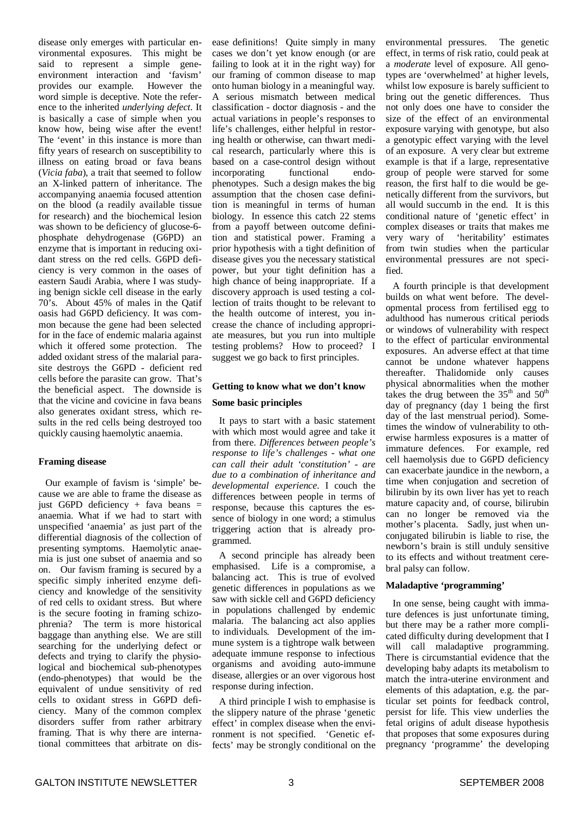disease only emerges with particular environmental exposures. This might be said to represent a simple geneenvironment interaction and 'favism' provides our example. However the word simple is deceptive. Note the reference to the inherited *underlying defect.* It is basically a case of simple when you know how, being wise after the event! The 'event' in this instance is more than fifty years of research on susceptibility to illness on eating broad or fava beans (*Vicia faba*), a trait that seemed to follow an X-linked pattern of inheritance. The accompanying anaemia focused attention on the blood (a readily available tissue for research) and the biochemical lesion was shown to be deficiency of glucose-6 phosphate dehydrogenase (G6PD) an enzyme that is important in reducing oxidant stress on the red cells. G6PD deficiency is very common in the oases of eastern Saudi Arabia, where I was studying benign sickle cell disease in the early 70's. About 45% of males in the Qatif oasis had G6PD deficiency. It was common because the gene had been selected for in the face of endemic malaria against which it offered some protection. The added oxidant stress of the malarial parasite destroys the G6PD - deficient red cells before the parasite can grow. That's the beneficial aspect. The downside is that the vicine and covicine in fava beans also generates oxidant stress, which results in the red cells being destroyed too quickly causing haemolytic anaemia.

#### **Framing disease**

Our example of favism is 'simple' because we are able to frame the disease as just G6PD deficiency + fava beans  $=$ anaemia. What if we had to start with unspecified 'anaemia' as just part of the differential diagnosis of the collection of presenting symptoms. Haemolytic anaemia is just one subset of anaemia and so on. Our favism framing is secured by a specific simply inherited enzyme deficiency and knowledge of the sensitivity of red cells to oxidant stress. But where is the secure footing in framing schizophrenia? The term is more historical baggage than anything else. We are still searching for the underlying defect or defects and trying to clarify the physiological and biochemical sub-phenotypes (endo-phenotypes) that would be the equivalent of undue sensitivity of red cells to oxidant stress in G6PD deficiency. Many of the common complex disorders suffer from rather arbitrary framing. That is why there are international committees that arbitrate on disease definitions! Quite simply in many cases we don't yet know enough (or are failing to look at it in the right way) for our framing of common disease to map onto human biology in a meaningful way. A serious mismatch between medical classification - doctor diagnosis - and the actual variations in people's responses to life's challenges, either helpful in restoring health or otherwise, can thwart medical research, particularly where this is based on a case-control design without<br>incorporating functional endoincorporating functional endophenotypes. Such a design makes the big assumption that the chosen case definition is meaningful in terms of human biology. In essence this catch 22 stems from a payoff between outcome definition and statistical power. Framing a prior hypothesis with a tight definition of disease gives you the necessary statistical power, but your tight definition has a high chance of being inappropriate. If a discovery approach is used testing a collection of traits thought to be relevant to the health outcome of interest, you increase the chance of including appropriate measures, but you run into multiple testing problems? How to proceed? I suggest we go back to first principles.

#### **Getting to know what we don't know**

#### **Some basic principles**

It pays to start with a basic statement with which most would agree and take it from there. *Differences between people's response to life's challenges - what one can call their adult 'constitution' - are due to a combination of inheritance and developmental experience*. I couch the differences between people in terms of response, because this captures the essence of biology in one word; a stimulus triggering action that is already programmed.

A second principle has already been emphasised. Life is a compromise, a balancing act. This is true of evolved genetic differences in populations as we saw with sickle cell and G6PD deficiency in populations challenged by endemic malaria. The balancing act also applies to individuals. Development of the immune system is a tightrope walk between adequate immune response to infectious organisms and avoiding auto-immune disease, allergies or an over vigorous host response during infection.

A third principle I wish to emphasise is the slippery nature of the phrase 'genetic effect' in complex disease when the environment is not specified. 'Genetic effects' may be strongly conditional on the

environmental pressures. The genetic effect, in terms of risk ratio, could peak at a *moderate* level of exposure. All genotypes are 'overwhelmed' at higher levels, whilst low exposure is barely sufficient to bring out the genetic differences. Thus not only does one have to consider the size of the effect of an environmental exposure varying with genotype, but also a genotypic effect varying with the level of an exposure. A very clear but extreme example is that if a large, representative group of people were starved for some reason, the first half to die would be genetically different from the survivors, but all would succumb in the end. It is this conditional nature of 'genetic effect' in complex diseases or traits that makes me very wary of 'heritability' estimates from twin studies when the particular environmental pressures are not specified.

A fourth principle is that development builds on what went before. The developmental process from fertilised egg to adulthood has numerous critical periods or windows of vulnerability with respect to the effect of particular environmental exposures. An adverse effect at that time cannot be undone whatever happens thereafter. Thalidomide only causes physical abnormalities when the mother takes the drug between the  $35<sup>th</sup>$  and  $50<sup>th</sup>$ day of pregnancy (day 1 being the first day of the last menstrual period). Sometimes the window of vulnerability to otherwise harmless exposures is a matter of immature defences. For example, red cell haemolysis due to G6PD deficiency can exacerbate jaundice in the newborn, a time when conjugation and secretion of bilirubin by its own liver has yet to reach mature capacity and, of course, bilirubin can no longer be removed via the mother's placenta. Sadly, just when unconjugated bilirubin is liable to rise, the newborn's brain is still unduly sensitive to its effects and without treatment cerebral palsy can follow.

#### **Maladaptive 'programming'**

In one sense, being caught with immature defences is just unfortunate timing, but there may be a rather more complicated difficulty during development that I will call maladaptive programming. There is circumstantial evidence that the developing baby adapts its metabolism to match the intra-uterine environment and elements of this adaptation, e.g. the particular set points for feedback control, persist for life. This view underlies the fetal origins of adult disease hypothesis that proposes that some exposures during pregnancy 'programme' the developing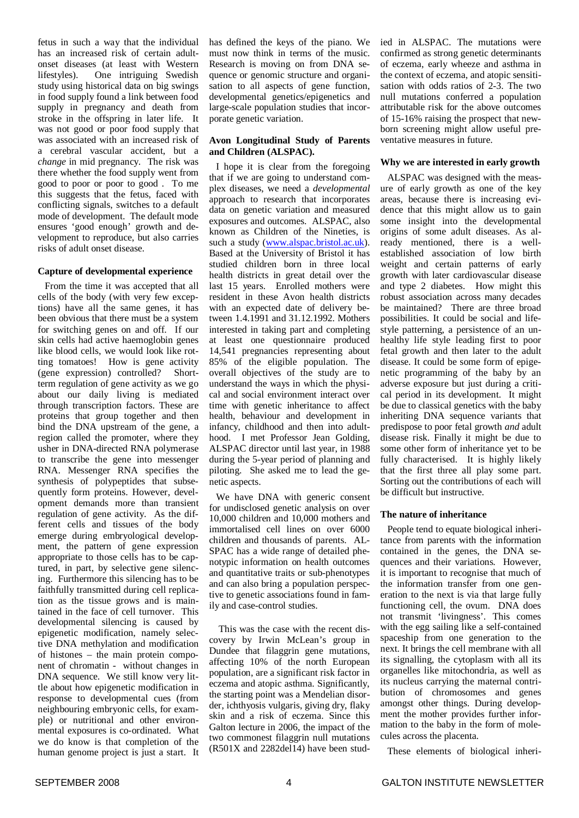fetus in such a way that the individual has an increased risk of certain adultonset diseases (at least with Western lifestyles). One intriguing Swedish study using historical data on big swings in food supply found a link between food supply in pregnancy and death from stroke in the offspring in later life. It was not good or poor food supply that was associated with an increased risk of a cerebral vascular accident, but a *change* in mid pregnancy. The risk was there whether the food supply went from good to poor or poor to good . To me this suggests that the fetus, faced with conflicting signals, switches to a default mode of development. The default mode ensures 'good enough' growth and development to reproduce, but also carries risks of adult onset disease.

#### **Capture of developmental experience**

From the time it was accepted that all cells of the body (with very few exceptions) have all the same genes, it has been obvious that there must be a system for switching genes on and off. If our skin cells had active haemoglobin genes like blood cells, we would look like rotting tomatoes! How is gene activity (gene expression) controlled? Shortterm regulation of gene activity as we go about our daily living is mediated through transcription factors. These are proteins that group together and then bind the DNA upstream of the gene, a region called the promoter, where they usher in DNA-directed RNA polymerase to transcribe the gene into messenger RNA. Messenger RNA specifies the synthesis of polypeptides that subsequently form proteins. However, development demands more than transient regulation of gene activity. As the different cells and tissues of the body emerge during embryological development, the pattern of gene expression appropriate to those cells has to be captured, in part, by selective gene silencing. Furthermore this silencing has to be faithfully transmitted during cell replication as the tissue grows and is maintained in the face of cell turnover. This developmental silencing is caused by epigenetic modification, namely selective DNA methylation and modification of histones – the main protein component of chromatin - without changes in DNA sequence. We still know very little about how epigenetic modification in response to developmental cues (from neighbouring embryonic cells, for example) or nutritional and other environmental exposures is co-ordinated. What we do know is that completion of the human genome project is just a start. It has defined the keys of the piano. We must now think in terms of the music. Research is moving on from DNA sequence or genomic structure and organisation to all aspects of gene function, developmental genetics/epigenetics and large-scale population studies that incorporate genetic variation.

#### **Avon Longitudinal Study of Parents and Children (ALSPAC).**

I hope it is clear from the foregoing that if we are going to understand complex diseases, we need a *developmental* approach to research that incorporates data on genetic variation and measured exposures and outcomes. ALSPAC, also known as Children of the Nineties, is such a study (www.alspac.bristol.ac.uk). Based at the University of Bristol it has studied children born in three local health districts in great detail over the last 15 years. Enrolled mothers were resident in these Avon health districts with an expected date of delivery between 1.4.1991 and 31.12.1992. Mothers interested in taking part and completing at least one questionnaire produced 14,541 pregnancies representing about 85% of the eligible population. The overall objectives of the study are to understand the ways in which the physical and social environment interact over time with genetic inheritance to affect health, behaviour and development in infancy, childhood and then into adulthood. I met Professor Jean Golding, ALSPAC director until last year, in 1988 during the 5-year period of planning and piloting. She asked me to lead the genetic aspects.

We have DNA with generic consent for undisclosed genetic analysis on over 10,000 children and 10,000 mothers and immortalised cell lines on over 6000 children and thousands of parents. AL-SPAC has a wide range of detailed phenotypic information on health outcomes and quantitative traits or sub-phenotypes and can also bring a population perspective to genetic associations found in family and case-control studies.

This was the case with the recent discovery by Irwin McLean's group in Dundee that filaggrin gene mutations, affecting 10% of the north European population, are a significant risk factor in eczema and atopic asthma. Significantly, the starting point was a Mendelian disorder, ichthyosis vulgaris, giving dry, flaky skin and a risk of eczema. Since this Galton lecture in 2006, the impact of the two commonest filaggrin null mutations  $(R501X$  and 2282del14) have been studied in ALSPAC. The mutations were confirmed as strong genetic determinants of eczema, early wheeze and asthma in the context of eczema, and atopic sensitisation with odds ratios of 2-3. The two null mutations conferred a population attributable risk for the above outcomes of 15-16% raising the prospect that newborn screening might allow useful preventative measures in future.

#### **Why we are interested in early growth**

ALSPAC was designed with the measure of early growth as one of the key areas, because there is increasing evidence that this might allow us to gain some insight into the developmental origins of some adult diseases. As already mentioned, there is a wellestablished association of low birth weight and certain patterns of early growth with later cardiovascular disease and type 2 diabetes. How might this robust association across many decades be maintained? There are three broad possibilities. It could be social and lifestyle patterning, a persistence of an unhealthy life style leading first to poor fetal growth and then later to the adult disease. It could be some form of epigenetic programming of the baby by an adverse exposure but just during a critical period in its development. It might be due to classical genetics with the baby inheriting DNA sequence variants that predispose to poor fetal growth *and* adult disease risk. Finally it might be due to some other form of inheritance yet to be fully characterised. It is highly likely that the first three all play some part. Sorting out the contributions of each will be difficult but instructive.

#### **The nature of inheritance**

People tend to equate biological inheritance from parents with the information contained in the genes, the DNA sequences and their variations. However, it is important to recognise that much of the information transfer from one generation to the next is via that large fully functioning cell, the ovum. DNA does not transmit 'livingness'. This comes with the egg sailing like a self-contained spaceship from one generation to the next. It brings the cell membrane with all its signalling, the cytoplasm with all its organelles like mitochondria, as well as its nucleus carrying the maternal contribution of chromosomes and genes amongst other things. During development the mother provides further information to the baby in the form of molecules across the placenta.

These elements of biological inheri-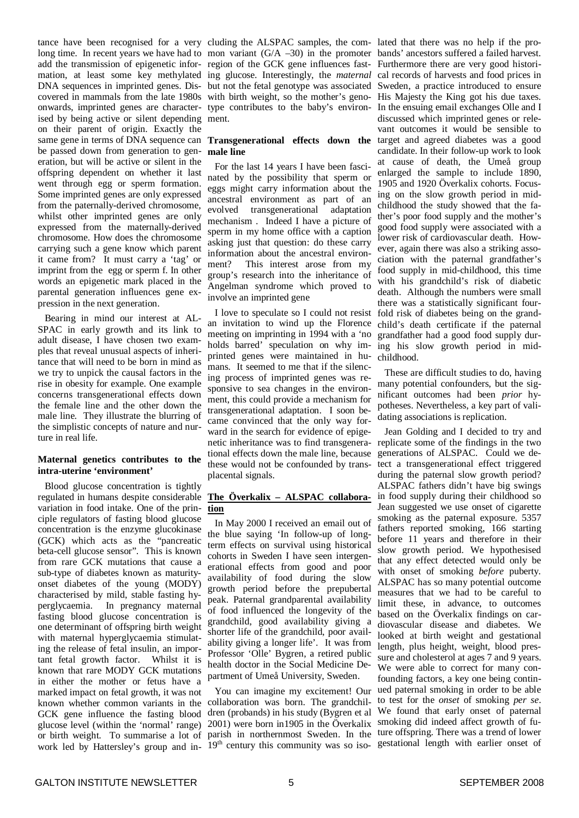tance have been recognised for a very cluding the ALSPAC samples, the com-lated that there was no help if the prolong time. In recent years we have had to mon variant (G/A -30) in the promoter bands' ancestors suffered a failed harvest. add the transmission of epigenetic infor- region of the GCK gene influences fast- Furthermore there are very good historimation, at least some key methylated ing glucose. Interestingly, the *maternal* cal records of harvests and food prices in DNA sequences in imprinted genes. Discovered in mammals from the late 1980s onwards, imprinted genes are characterised by being active or silent depending on their parent of origin. Exactly the same gene in terms of DNA sequence can be passed down from generation to generation, but will be active or silent in the offspring dependent on whether it last went through egg or sperm formation. Some imprinted genes are only expressed from the paternally-derived chromosome, whilst other imprinted genes are only expressed from the maternally-derived chromosome. How does the chromosome carrying such a gene know which parent it came from? It must carry a 'tag' or imprint from the egg or sperm f. In other words an epigenetic mark placed in the parental generation influences gene expression in the next generation.

Bearing in mind our interest at AL-SPAC in early growth and its link to adult disease, I have chosen two examples that reveal unusual aspects of inheritance that will need to be born in mind as we try to unpick the causal factors in the rise in obesity for example. One example concerns transgenerational effects down the female line and the other down the male line. They illustrate the blurring of the simplistic concepts of nature and nurture in real life.

#### **Maternal genetics contributes to the intra-uterine 'environment'**

Blood glucose concentration is tightly regulated in humans despite considerable variation in food intake. One of the principle regulators of fasting blood glucose concentration is the enzyme glucokinase (GCK) which acts as the "pancreatic beta-cell glucose sensor". This is known from rare GCK mutations that cause a sub-type of diabetes known as maturityonset diabetes of the young (MODY) characterised by mild, stable fasting hyperglycaemia. In pregnancy maternal fasting blood glucose concentration is one determinant of offspring birth weight with maternal hyperglycaemia stimulating the release of fetal insulin, an important fetal growth factor. Whilst it is known that rare MODY GCK mutations in either the mother or fetus have a marked impact on fetal growth, it was not known whether common variants in the GCK gene influence the fasting blood glucose level (within the 'normal' range) or birth weight. To summarise a lot of work led by Hattersley's group and in-

but not the fetal genotype was associated Sweden, a practice introduced to ensure with birth weight, so the mother's geno-His Majesty the King got his due taxes. type contributes to the baby's environ-In the ensuing email exchanges Olle and I ment.

#### **Transgenerational effects down the** target and agreed diabetes was a good **male line**

For the last 14 years I have been fascinated by the possibility that sperm or eggs might carry information about the ancestral environment as part of an evolved transgenerational adaptation mechanism . Indeed I have a picture of sperm in my home office with a caption asking just that question: do these carry information about the ancestral environment? This interest arose from my group's research into the inheritance of Angelman syndrome which proved to involve an imprinted gene

I love to speculate so I could not resist an invitation to wind up the Florence meeting on imprinting in 1994 with a 'no holds barred' speculation on why imprinted genes were maintained in humans. It seemed to me that if the silencing process of imprinted genes was responsive to sea changes in the environment, this could provide a mechanism for transgenerational adaptation. I soon became convinced that the only way forward in the search for evidence of epigenetic inheritance was to find transgenerational effects down the male line, because these would not be confounded by transplacental signals.

#### **The Överkalix – ALSPAC collaboration**

In May 2000 I received an email out of the blue saying 'In follow-up of longterm effects on survival using historical cohorts in Sweden I have seen intergenerational effects from good and poor availability of food during the slow growth period before the prepubertal peak. Paternal grandparental availability of food influenced the longevity of the grandchild, good availability giving a shorter life of the grandchild, poor availability giving a longer life'. It was from Professor 'Olle' Bygren, a retired public health doctor in the Social Medicine Department of Umeå University, Sweden.

You can imagine my excitement! Our collaboration was born. The grandchildren (probands) in his study (Bygren et al 2001) were born in1905 in the Överkalix parish in northernmost Sweden. In the 19<sup>th</sup> century this community was so iso-

discussed which imprinted genes or relevant outcomes it would be sensible to candidate. In their follow-up work to look at cause of death, the Umeå group enlarged the sample to include 1890, 1905 and 1920 Överkalix cohorts. Focusing on the slow growth period in midchildhood the study showed that the father's poor food supply and the mother's good food supply were associated with a lower risk of cardiovascular death. However, again there was also a striking association with the paternal grandfather's food supply in mid-childhood, this time with his grandchild's risk of diabetic death. Although the numbers were small there was a statistically significant fourfold risk of diabetes being on the grandchild's death certificate if the paternal grandfather had a good food supply during his slow growth period in midchildhood.

These are difficult studies to do, having many potential confounders, but the significant outcomes had been *prior* hypotheses. Nevertheless, a key part of validating associations is replication.

Jean Golding and I decided to try and replicate some of the findings in the two generations of ALSPAC. Could we detect a transgenerational effect triggered during the paternal slow growth period? ALSPAC fathers didn't have big swings in food supply during their childhood so Jean suggested we use onset of cigarette smoking as the paternal exposure. 5357 fathers reported smoking, 166 starting before 11 years and therefore in their slow growth period. We hypothesised that any effect detected would only be with onset of smoking *before* puberty. ALSPAC has so many potential outcome measures that we had to be careful to limit these, in advance, to outcomes based on the Överkalix findings on cardiovascular disease and diabetes. We looked at birth weight and gestational length, plus height, weight, blood pressure and cholesterol at ages 7 and 9 years. We were able to correct for many confounding factors, a key one being continued paternal smoking in order to be able to test for the *onset* of smoking *per se*. We found that early onset of paternal smoking did indeed affect growth of future offspring. There was a trend of lower gestational length with earlier onset of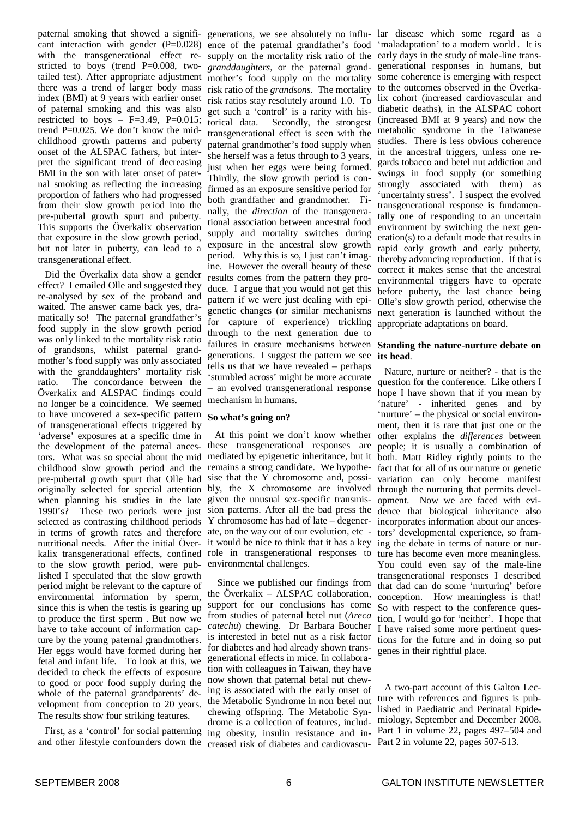paternal smoking that showed a significant interaction with gender  $(P=0.028)$ with the transgenerational effect restricted to boys (trend P=0.008, twotailed test). After appropriate adjustment there was a trend of larger body mass index (BMI) at 9 years with earlier onset of paternal smoking and this was also restricted to boys  $-$  F=3.49, P=0.015; trend P=0.025. We don't know the midchildhood growth patterns and puberty onset of the ALSPAC fathers, but interpret the significant trend of decreasing BMI in the son with later onset of paternal smoking as reflecting the increasing proportion of fathers who had progressed from their slow growth period into the pre-pubertal growth spurt and puberty. This supports the Överkalix observation that exposure in the slow growth period, but not later in puberty, can lead to a transgenerational effect.

Did the Överkalix data show a gender effect? I emailed Olle and suggested they re-analysed by sex of the proband and waited. The answer came back yes, dramatically so! The paternal grandfather's food supply in the slow growth period was only linked to the mortality risk ratio of grandsons, whilst paternal grandmother's food supply was only associated with the granddaughters' mortality risk ratio. The concordance between the Överkalix and ALSPAC findings could no longer be a coincidence. We seemed to have uncovered a sex-specific pattern of transgenerational effects triggered by 'adverse' exposures at a specific time in the development of the paternal ancestors. What was so special about the mid childhood slow growth period and the pre-pubertal growth spurt that Olle had originally selected for special attention when planning his studies in the late 1990's? These two periods were just selected as contrasting childhood periods in terms of growth rates and therefore nutritional needs. After the initial Överkalix transgenerational effects, confined to the slow growth period, were published I speculated that the slow growth period might be relevant to the capture of environmental information by sperm, since this is when the testis is gearing up to produce the first sperm . But now we have to take account of information capture by the young paternal grandmothers. Her eggs would have formed during her fetal and infant life. To look at this, we decided to check the effects of exposure to good or poor food supply during the whole of the paternal grandparents' development from conception to 20 years. The results show four striking features.

First, as a 'control' for social patterning and other lifestyle confounders down the

ence of the paternal grandfather's food 'maladaptation' to a modern world . It is supply on the mortality risk ratio of the early days in the study of male-line trans*granddaughters,* or the paternal grand-generational responses in humans, but mother's food supply on the mortality some coherence is emerging with respect risk ratio of the *grandsons*. The mortality to the outcomes observed in the Överkarisk ratios stay resolutely around 1.0. To lix cohort (increased cardiovascular and get such a 'control' is a rarity with historical data. Secondly, the strongest transgenerational effect is seen with the paternal grandmother's food supply when she herself was a fetus through to 3 years, just when her eggs were being formed. Thirdly, the slow growth period is confirmed as an exposure sensitive period for both grandfather and grandmother. Finally, the *direction* of the transgenerational association between ancestral food supply and mortality switches during exposure in the ancestral slow growth period. Why this is so, I just can't imagine. However the overall beauty of these results comes from the pattern they produce. I argue that you would not get this pattern if we were just dealing with epigenetic changes (or similar mechanisms for capture of experience) trickling through to the next generation due to failures in erasure mechanisms between generations. I suggest the pattern we see tells us that we have revealed – perhaps 'stumbled across' might be more accurate – an evolved transgenerational response mechanism in humans.

#### **So what's going on?**

At this point we don't know whether these transgenerational responses are mediated by epigenetic inheritance, but it remains a strong candidate. We hypothesise that the Y chromosome and, possibly, the X chromosome are involved given the unusual sex-specific transmission patterns. After all the bad press the Y chromosome has had of late – degenerate, on the way out of our evolution, etc it would be nice to think that it has a key ing the debate in terms of nature or nurrole in transgenerational responses to environmental challenges.

Since we published our findings from the Överkalix – ALSPAC collaboration, support for our conclusions has come from studies of paternal betel nut (*Areca catechu*) chewing. Dr Barbara Boucher is interested in betel nut as a risk factor for diabetes and had already shown transgenerational effects in mice. In collaboration with colleagues in Taiwan, they have now shown that paternal betal nut chewing is associated with the early onset of the Metabolic Syndrome in non betel nut chewing offspring. The Metabolic Syndrome is a collection of features, including obesity, insulin resistance and increased risk of diabetes and cardiovascu-Part 2 in volume 22, pages 507-513.

generations, we see absolutely no influ-lar disease which some regard as a diabetic deaths), in the ALSPAC cohort (increased BMI at 9 years) and now the metabolic syndrome in the Taiwanese studies. There is less obvious coherence in the ancestral triggers, unless one regards tobacco and betel nut addiction and swings in food supply (or something strongly associated with them) as 'uncertainty stress'. I suspect the evolved transgenerational response is fundamentally one of responding to an uncertain environment by switching the next generation(s) to a default mode that results in rapid early growth and early puberty, thereby advancing reproduction. If that is correct it makes sense that the ancestral environmental triggers have to operate before puberty, the last chance being Olle's slow growth period, otherwise the next generation is launched without the appropriate adaptations on board.

#### **Standing the nature-nurture debate on its head**.

Nature, nurture or neither? - that is the question for the conference. Like others I hope I have shown that if you mean by 'nature' - inherited genes and by 'nurture' – the physical or social environment, then it is rare that just one or the other explains the *differences* between people; it is usually a combination of both. Matt Ridley rightly points to the fact that for all of us our nature or genetic variation can only become manifest through the nurturing that permits development. Now we are faced with evidence that biological inheritance also incorporates information about our ancestors' developmental experience, so framture has become even more meaningless. You could even say of the male-line transgenerational responses I described that dad can do some 'nurturing' before conception. How meaningless is that! So with respect to the conference question, I would go for 'neither'. I hope that I have raised some more pertinent questions for the future and in doing so put genes in their rightful place.

A two-part account of this Galton Lecture with references and figures is published in Paediatric and Perinatal Epidemiology, September and December 2008. Part 1 in volume 22**,** pages 497–504 and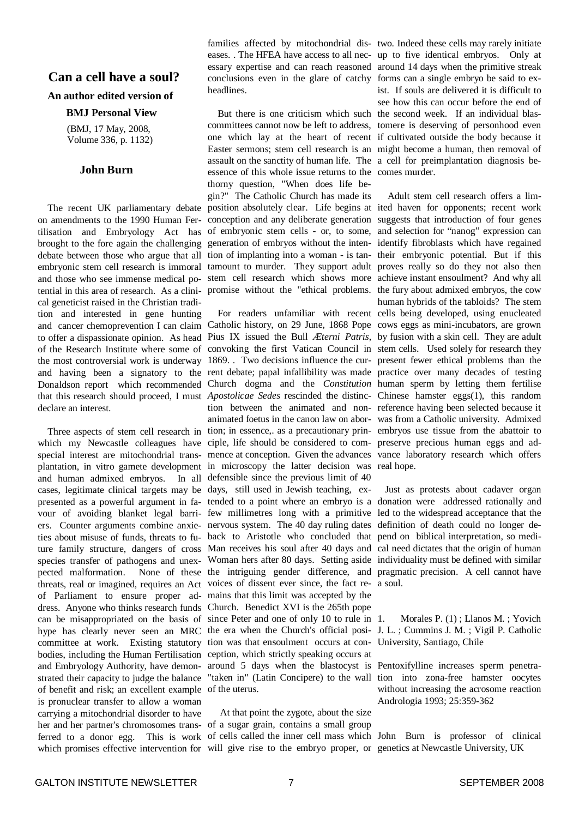#### **Can a cell have a soul?**

#### **An author edited version of**

#### **BMJ Personal View**

(BMJ, 17 May, 2008, Volume 336, p. 1132)

#### **John Burn**

The recent UK parliamentary debate on amendments to the 1990 Human Fertilisation and Embryology Act has brought to the fore again the challenging debate between those who argue that all embryonic stem cell research is immoral tamount to murder. They support adult proves really so do they not also then and those who see immense medical po-stem cell research which shows more achieve instant ensoulment? And why all tential in this area of research. As a clini-promise without the "ethical problems. the fury about admixed embryos, the cow cal geneticist raised in the Christian tradition and interested in gene hunting declare an interest.

and human admixed embryos. In all defensible since the previous limit of 40 cases, legitimate clinical targets may be days, still used in Jewish teaching, exof Parliament to ensure proper ad-mains that this limit was accepted by the dress. Anyone who thinks research funds Church. Benedict XVI is the 265th pope can be misappropriated on the basis of since Peter and one of only 10 to rule in bodies, including the Human Fertilisation ception, which strictly speaking occurs at of benefit and risk; an excellent example of the uterus. is pronuclear transfer to allow a woman carrying a mitochondrial disorder to have her and her partner's chromosomes trans-of a sugar grain, contains a small group ferred to a donor egg. This is work of cells called the inner cell mass which John Burn is professor of clinical which promises effective intervention for will give rise to the embryo proper, or genetics at Newcastle University, UK

families affected by mitochondrial dis-two. Indeed these cells may rarely initiate eases. . The HFEA have access to all nec-up to five identical embryos. Only at essary expertise and can reach reasoned around 14 days when the primitive streak conclusions even in the glare of catchy forms can a single embryo be said to exheadlines.

committees cannot now be left to address, tomere is deserving of personhood even one which lay at the heart of recent if cultivated outside the body because it Easter sermons; stem cell research is an might become a human, then removal of assault on the sanctity of human life. The a cell for preimplantation diagnosis beessence of this whole issue returns to the comes murder. thorny question, "When does life begin?" The Catholic Church has made its position absolutely clear. Life begins at ited haven for opponents; recent work conception and any deliberate generation suggests that introduction of four genes of embryonic stem cells - or, to some, and selection for "nanog" expression can generation of embryos without the inten-identify fibroblasts which have regained tion of implanting into a woman - is tan-their embryonic potential. But if this

and cancer chemoprevention I can claim Catholic history, on 29 June, 1868 Pope cows eggs as mini-incubators, are grown to offer a dispassionate opinion. As head Pius IX issued the Bull *Æterni Patris*, by fusion with a skin cell. They are adult of the Research Institute where some of convoking the first Vatican Council in stem cells. Used solely for research they the most controversial work is underway 1869. . Two decisions influence the cur-present fewer ethical problems than the and having been a signatory to the rent debate; papal infallibility was made practice over many decades of testing Donaldson report which recommended Church dogma and the *Constitution* human sperm by letting them fertilise that this research should proceed, I must *Apostolicae Sedes* rescinded the distinc-Chinese hamster eggs(1), this random Three aspects of stem cell research in tion; in essence,. as a precautionary prin-embryos use tissue from the abattoir to which my Newcastle colleagues have ciple, life should be considered to com- preserve precious human eggs and adspecial interest are mitochondrial trans-mence at conception. Given the advances vance laboratory research which offers plantation, in vitro gamete development in microscopy the latter decision was real hope. presented as a powerful argument in fa-tended to a point where an embryo is a donation were addressed rationally and vour of avoiding blanket legal barri-few millimetres long with a primitive led to the widespread acceptance that the ers. Counter arguments combine anxie-nervous system. The 40 day ruling dates definition of death could no longer deties about misuse of funds, threats to fu-back to Aristotle who concluded that pend on biblical interpretation, so mediture family structure, dangers of cross Man receives his soul after 40 days and cal need dictates that the origin of human species transfer of pathogens and unex-Woman hers after 80 days. Setting aside individuality must be defined with similar pected malformation. None of these the intriguing gender difference, and pragmatic precision. A cell cannot have threats, real or imagined, requires an Act voices of dissent ever since, the fact re-a soul. hype has clearly never seen an MRC the era when the Church's official posi- J. L. ; Cummins J. M. ; Vigil P. Catholic committee at work. Existing statutory tion was that ensoulment occurs at con-University, Santiago, Chile and Embryology Authority, have demon-around 5 days when the blastocyst is Pentoxifylline increases sperm penetrastrated their capacity to judge the balance "taken in" (Latin Concipere) to the wall tion into zona-free hamster oocytes tion between the animated and non-reference having been selected because it animated foetus in the canon law on abor-was from a Catholic university. Admixed

At that point the zygote, about the size

But there is one criticism which such the second week. If an individual blasist. If souls are delivered it is difficult to see how this can occur before the end of

For readers unfamiliar with recent cells being developed, using enucleated Adult stem cell research offers a limhuman hybrids of the tabloids? The stem

Just as protests about cadaver organ

Morales P. (1); Llanos M.; Yovich

without increasing the acrosome reaction Andrologia 1993; 25:359-362